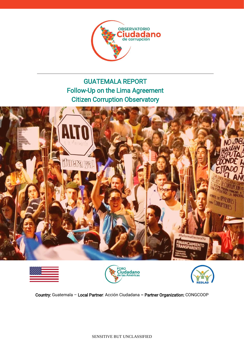

# GUATEMALA REPORT Follow-Up on the Lima Agreement Citizen Corruption Observatory









Country: Guatemala – Local Partner: Acción Ciudadana – Partner Organization: CONGCOOP

SENSITIVE BUT UNCLASSIFIED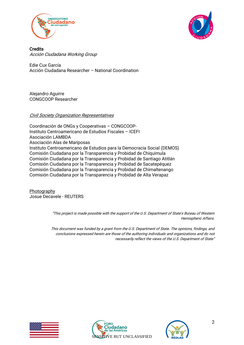



**Credits** Acción Ciudadana Working Group

Edie Cux García Acción Ciudadana Researcher – National Coordination

Alejandro Aguirre CONGCOOP Researcher

#### Civil Society Organization Representatives

Coordinación de ONGs y Cooperativas – CONGCOOP-Instituto Centroamericano de Estudios Fiscales – ICEFI Asociación LAMBDA Asociación Alas de Mariposas Instituto Centroamericano de Estudios para la Democracia Social (DEMOS) Comisión Ciudadana por la Transparencia y Probidad de Chiquimula Comisión Ciudadana por la Transparencia y Probidad de Santiago Atitlán Comisión Ciudadana por la Transparencia y Probidad de Sacatepéquez Comisión Ciudadana por la Transparencia y Probidad de Chimaltenango Comisión Ciudadana por la Transparencia y Probidad de Alta Verapaz

Photography Josue Decavele - REUTERS

> "This project is made possible with the support of the U.S. Department of State's Bureau of Western Hemispheric Affairs.

> This document was funded by a grant from the U.S. Department of State. The opinions, findings, and conclusions expressed herein are those of the authoring individuals and organizations and do not necessarily reflect the views of the U.S. Department of State"





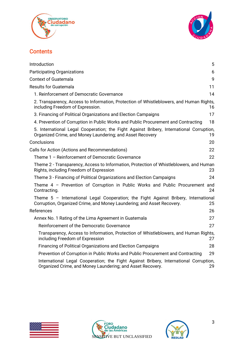



## **Contents**

| Introduction<br>5                                                                                                                                                   |
|---------------------------------------------------------------------------------------------------------------------------------------------------------------------|
| <b>Participating Organizations</b><br>6                                                                                                                             |
| <b>Context of Guatemala</b><br>9                                                                                                                                    |
| <b>Results for Guatemala</b><br>11                                                                                                                                  |
| 1. Reinforcement of Democratic Governance<br>14                                                                                                                     |
| 2. Transparency, Access to Information, Protection of Whistleblowers, and Human Rights,<br>including Freedom of Expression.<br>16                                   |
| 3. Financing of Political Organizations and Election Campaigns<br>17                                                                                                |
| 4. Prevention of Corruption in Public Works and Public Procurement and Contracting<br>18                                                                            |
| 5. International Legal Cooperation; the Fight Against Bribery, International Corruption,<br>Organized Crime, and Money Laundering; and Asset Recovery<br>19         |
| Conclusions<br>20                                                                                                                                                   |
| Calls for Action (Actions and Recommendations)<br>22                                                                                                                |
| Theme 1 - Reinforcement of Democratic Governance<br>22                                                                                                              |
| Theme 2 - Transparency, Access to Information, Protection of Whistleblowers, and Human<br>Rights, including Freedom of Expression<br>23.                            |
| Theme 3 - Financing of Political Organizations and Election Campaigns<br>24                                                                                         |
| Theme 4 - Prevention of Corruption in Public Works and Public Procurement and<br>Contracting.<br>24                                                                 |
| Theme 5 - International Legal Cooperation; the Fight Against Bribery, International<br>Corruption, Organized Crime, and Money Laundering; and Asset Recovery.<br>25 |
| References<br>26                                                                                                                                                    |
| 27<br>Annex No. 1 Rating of the Lima Agreement in Guatemala                                                                                                         |
| Reinforcement of the Democratic Governance<br>27                                                                                                                    |
| Transparency, Access to Information, Protection of Whistleblowers, and Human Rights,<br>including Freedom of Expression<br>27                                       |
| <b>Financing of Political Organizations and Election Campaigns</b><br>28                                                                                            |
| Prevention of Corruption in Public Works and Public Procurement and Contracting<br>29                                                                               |
| International Legal Cooperation; the Fight Against Bribery, International Corruption,<br>Organized Crime, and Money Laundering; and Asset Recovery.<br>29           |





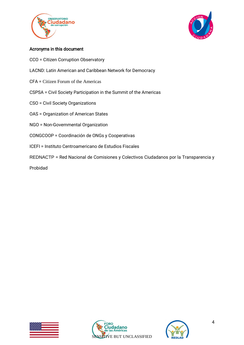



#### Acronyms in this document

- CCO = Citizen Corruption Observatory
- LACND: Latin American and Caribbean Network for Democracy
- CFA = Citizen Forum of the Americas
- CSPSA = Civil Society Participation in the Summit of the Americas
- CSO = Civil Society Organizations
- OAS = Organization of American States
- NGO = Non-Governmental Organization
- CONGCOOP = Coordinación de ONGs y Cooperativas
- ICEFI = Instituto Centroamericano de Estudios Fiscales
- REDNACTP = Red Nacional de Comisiones y Colectivos Ciudadanos por la Transparencia y

Probidad





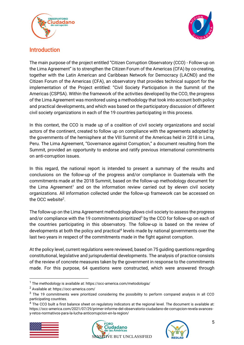



# <span id="page-4-0"></span>Introduction

The main purpose of the project entitled "Citizen Corruption Observatory (CCO) - Follow-up on the Lima Agreement" is to strengthen the Citizen Forum of the Americas (CFA) by co-creating, together with the Latin American and Caribbean Network for Democracy (LACND) and the Citizen Forum of the Americas (CFA), an observatory that provides technical support for the implementation of the Project entitled: "Civil Society Participation in the Summit of the Americas (CSPSA). Within the framework of the activities developed by the CCO, the progress of the Lima Agreement was monitored using a methodology that took into account both policy and practical developments, and which was based on the participatory discussion of different civil society organizations in each of the 19 countries participating in this process.

In this context, the CCO is made up of a coalition of civil society organizations and social actors of the continent, created to follow up on compliance with the agreements adopted by the governments of the hemisphere at the VIII Summit of the Americas held in 2018 in Lima, Peru. The Lima Agreement, "Governance against Corruption," a document resulting from the Summit, provided an opportunity to endorse and ratify previous international commitments on anti-corruption issues.

In this regard, the national report is intended to present a summary of the results and conclusions on the follow-up of the progress and/or compliance in Guatemala with the commitments made at the 2018 Summit, based on the follow-up methodology document for the Lima Agreement<sup>1</sup> and on the information review carried out by eleven civil society organizations. All information collected under the follow-up framework can be accessed on the OCC website<sup>2</sup>.

The follow-up on the Lima Agreement methodology allows civil society to assess the progress and/or compliance with the 19 commitments prioritized<sup>3</sup> by the CCO for follow-up on each of the countries participating in this observatory. The follow-up is based on the review of developments at both the policy and practical<sup>4</sup> levels made by national governments over the last two years in respect of the commitments made in the fight against corruption.

At the policy level, current regulations were reviewed, based on 75 guiding questions regarding constitutional, legislative and jurisprudential developments. The analysis of practice consists of the review of concrete measures taken by the government in response to the commitments made. For this purpose, 64 questions were constructed, which were answered through

<sup>&</sup>lt;sup>4</sup> The CCO built a first balance sheet on regulatory indicators at the regional level. The document is available at: https://occ-america.com/2021/07/29/primer-informe-del-observatorio-ciudadano-de-corrupcion-revela-avancesy-retos-normativos-para-la-lucha-anticorrupcion-en-la-region/







 $1$  The methodology is available at: https://occ-america.com/metodologia/

<sup>2</sup> Available at: https://occ-america.com/

<sup>&</sup>lt;sup>3</sup> The 19 commitments were prioritized considering the possibility to perform compared analysis in all CCO participating countries.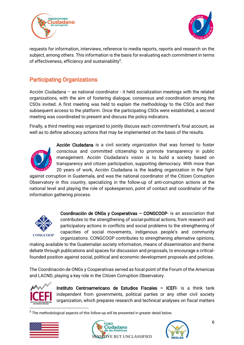



requests for information, interviews, reference to media reports, reports and research on the subject, among others. This information is the basis for evaluating each commitment in terms of effectiveness, efficiency and sustainability<sup>5</sup>.

# <span id="page-5-0"></span>Participating Organizations

Acción Ciudadana – as national coordinator - it held socialization meetings with the related organizations, with the aim of fostering dialogue, consensus and coordination among the CSOs invited. A first meeting was held to explain the methodology to the CSOs and their subsequent access to the platform. Once the participating CSOs were established, a second meeting was coordinated to present and discuss the policy indicators.

Finally, a third meeting was organized to jointly discuss each commitment's final account, as well as to define advocacy actions that may be implemented on the basis of the results.



Acción Ciudadana is a civil society organization that was formed to foster conscious and committed citizenship to promote transparency in public management. Acción Ciudadana's vision is to build a society based on transparency and citizen participation, supporting democracy. With more than 20 years of work, Acción Ciudadana is the leading organization in the fight

against corruption in Guatemala, and was the national coordinator of the Citizen Corruption Observatory in this country, specializing in the follow-up of anti-corruption actions at the national level and playing the role of spokesperson, point of contact and coordinator of the information gathering process.



Coordinación de ONGs y Cooperativas – CONGCOOP- is an association that contributes to the strengthening of social-political actions, from research and participatory actions in conflicts and social problems to the strengthening of capacities of social movements, indigenous people's and community organizations. CONGCOOP contributes to strengthening alternative opinions,

making available to the Guatemalan society information, means of dissemination and theme debate through publications and spaces for discussion and proposals, to encourage a criticalfounded position against social, political and economic development proposals and policies.

The Coordinación de ONGs y Cooperativas served as focal point of the Forum of the Americas and LACND, playing a key role in the Citizen Corruption Observatory.



Instituto Centroamericano de Estudios Fiscales – ICEFI- is a think tank independent from governments, political parties or any other civil society organization, which prepares research and technical analyses on fiscal matters

 $<sup>5</sup>$  The methodological aspects of this follow-up will be presented in greater detail below.</sup>





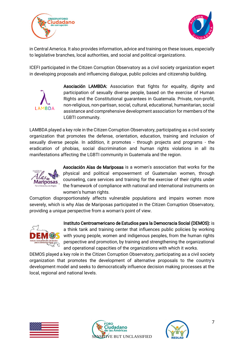



in Central America. It also provides information, advice and training on these issues, especially to legislative branches, local authorities, and social and political organizations.

ICEFI participated in the Citizen Corruption Observatory as a civil society organization expert in developing proposals and influencing dialogue, public policies and citizenship building.



Asociación LAMBDA: Association that fights for equality, dignity and participation of sexually diverse people, based on the exercise of Human Rights and the Constitutional guarantees in Guatemala. Private, non-profit, non-religious, non-partisan, social, cultural, educational, humanitarian, social assistance and comprehensive development association for members of the LGBTI community.

LAMBDA played a key role in the Citizen Corruption Observatory, participating as a civil society organization that promotes the defense, orientation, education, training and inclusion of sexually diverse people. In addition, it promotes - through projects and programs - the eradication of phobias, social discrimination and human rights violations in all its manifestations affecting the LGBTI community in Guatemala and the region.



Asociación Alas de Mariposas is a women's association that works for the physical and political empowerment of Guatemalan women, through counseling, care services and training for the exercise of their rights under the framework of compliance with national and international instruments on women's human rights.

Corruption disproportionately affects vulnerable populations and impairs women more severely, which is why Alas de Mariposas participated in the Citizen Corruption Observatory, providing a unique perspective from a woman's point of view.



Instituto Centroamericano de Estudios para la Democracia Social (DEMOS): is a think tank and training center that influences public policies by working with young people, women and indigenous peoples, from the human rights perspective and promotion, by training and strengthening the organizational and operational capacities of the organizations with which it works.

DEMOS played a key role in the Citizen Corruption Observatory, participating as a civil society organization that promotes the development of alternative proposals to the country's development model and seeks to democratically influence decision making processes at the local, regional and national levels.





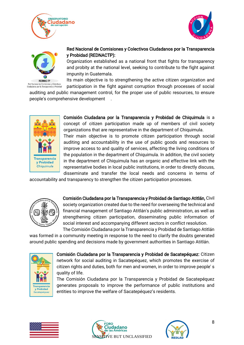





## Red Nacional de Comisiones y Colectivos Ciudadanos por la Transparencia y Probidad (REDNACTP):

Organization established as a national front that fights for transparency and probity at the national level, seeking to contribute to the fight against impunity in Guatemala.

Its main objective is to strengthening the active citizen organization and participation in the fight against corruption through processes of social

auditing and public management control, for the proper use of public resources, to ensure people's comprehensive development .



Comisión Ciudadana por la Transparencia y Probidad de Chiquimula is a concept of citizen participation made up of members of civil society organizations that are representative in the department of Chiquimula. Their main objective is to promote citizen participation through social auditing and accountability in the use of public goods and resources to improve access to and quality of services, affecting the living conditions of the population in the department of Chiquimula. In addition, the civil society in the department of Chiquimula has an organic and effective link with the representative bodies in local public institutions, in order to directly discuss, disseminate and transfer the local needs and concerns in terms of

accountability and transparency to strengthen the citizen participation processes.



Comisión Ciudadana por la Transparencia y Probidad de Santiago Atitlán, Civil society organization created due to the need for overseeing the technical and financial management of Santiago Atitlán's public administration, as well as strengthening citizen participation, disseminating public information of social interest and accompanying different sectors in conflict resolution. The Comisión Ciudadana por la Transparencia y Probidad de Santiago Atitlán

was formed in a community meeting in response to the need to clarify the doubts generated around public spending and decisions made by government authorities in Santiago Atitlán.



Comisión Ciudadana por la Transparencia y Probidad de Sacatepéquez: Citizen network for social auditing in Sacatepéquez, which promotes the exercise of citizen rights and duties, both for men and women, in order to improve people' s quality of life.

The Comisión Ciudadana por la Transparencia y Probidad de Sacatepéquez generates proposals to improve the performance of public institutions and entities to improve the welfare of Sacatepéquez's residents.





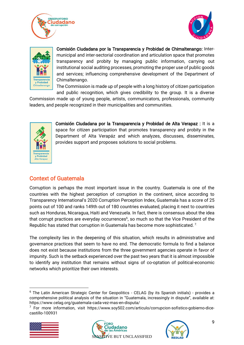





Comisión Ciudadana por la Transparencia y Probidad de Chimaltenango: Intermunicipal and inter-sectorial coordination and articulation space that promotes transparency and probity by managing public information, carrying out institutional social auditing processes, promoting the proper use of public goods and services; influencing comprehensive development of the Department of Chimaltenango.

The Commission is made up of people with a long history of citizen participation and public recognition, which gives credibility to the group. It is a diverse

Commission made up of young people, artists, communicators, professionals, community leaders, and people recognized in their municipalities and communities.



Comisión Ciudadana por la Transparencia y Probidad de Alta Verapaz : It is a space for citizen participation that promotes transparency and probity in the Department of Alta Verapáz and which analyzes, discusses, disseminates, provides support and proposes solutions to social problems.

# <span id="page-8-0"></span>Context of Guatemala

Corruption is perhaps the most important issue in the country. Guatemala is one of the countries with the highest perception of corruption in the continent, since according to Transparency International's 2020 Corruption Perception Index, Guatemala has a score of 25 points out of 100 and ranks 149th out of 180 countries evaluated, placing it next to countries such as Honduras, Nicaragua, Haiti and Venezuela. In fact, there is consensus about the idea that corrupt practices are everyday occurrences<sup>6</sup>, so much so that the Vice President of the Republic has stated that corruption in Guatemala has become more sophisticated.<sup>7</sup>

The complexity lies in the deepening of this situation, which results in administrative and governance practices that seem to have no end. The democratic formula to find a balance does not exist because institutions from the three government agencies operate in favor of impunity. Such is the setback experienced over the past two years that it is almost impossible to identify any institution that remains without signs of co-optation of political-economic networks which prioritize their own interests.

<sup>&</sup>lt;sup>7</sup> For more information, visit https://www.soy502.com/articulo/corrupcion-sofistico-gobierno-dicecastillo-100931







<sup>&</sup>lt;sup>6</sup> The Latin American Strategic Center for Geopolitics - CELAG (by its Spanish initials) - provides a comprehensive political analysis of the situation in "Guatemala, increasingly in dispute", available at: https://www.celag.org/guatemala-cada-vez-mas-en-disputa/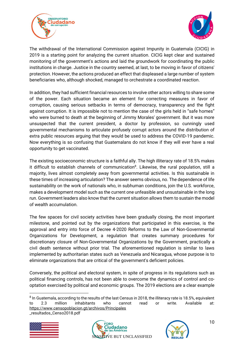



The withdrawal of the International Commission against Impunity in Guatemala (CICIG) in 2019 is a starting point for analyzing the current situation. CICIG kept clear and sustained monitoring of the government's actions and laid the groundwork for coordinating the public institutions in charge. Justice in the country seemed, at last, to be moving in favor of citizens' protection. However, the actions produced an effect that displeased a large number of system beneficiaries who, although shocked, managed to orchestrate a coordinated reaction.

In addition, they had sufficient financial resources to involve other actors willing to share some of the power. Each situation became an element for correcting measures in favor of corruption, causing serious setbacks in terms of democracy, transparency and the fight against corruption. It is impossible not to mention the case of the girls held in "safe homes" who were burned to death at the beginning of Jimmy Morales' government. But it was more unsuspected that the current president, a doctor by profession, so cunningly used governmental mechanisms to articulate profusely corrupt actors around the distribution of extra public resources arguing that they would be used to address the COVID-19 pandemic. Now everything is so confusing that Guatemalans do not know if they will ever have a real opportunity to get vaccinated.

The existing socioeconomic structure is a faithful ally. The high illiteracy rate of 18.5% makes it difficult to establish channels of communication<sup>8</sup>. Likewise, the rural population, still a majority, lives almost completely away from governmental activities. Is this sustainable in these times of increasing articulation? The answer seems obvious, no. The dependence of life sustainability on the work of nationals who, in subhuman conditions, join the U.S. workforce, makes a development model such as the current one unfeasible and unsustainable in the long run. Government leaders also know that the current situation allows them to sustain the model of wealth accumulation.

The few spaces for civil society activities have been gradually closing, the most important milestone, and pointed out by the organizations that participated in this exercise, is the approval and entry into force of Decree 4-2020 Reforms to the Law of Non-Governmental Organizations for Development, a regulation that creates summary procedures for discretionary closure of Non-Governmental Organizations by the Government, practically a civil death sentence without prior trial. The aforementioned regulation is similar to laws implemented by authoritarian states such as Venezuela and Nicaragua, whose purpose is to eliminate organizations that are critical of the government's deficient policies.

Conversely, the political and electoral system, in spite of progress in its regulations such as political financing controls, has not been able to overcome the dynamics of control and cooptation exercised by political and economic groups. The 2019 elections are a clear example

 $^8$  In Guatemala, according to the results of the last Census in 2018, the illiteracy rate is 18.5%, equivalent to 2.3 million inhabitants who cannot read or write. Available at: <https://www.censopoblacion.gt/archivos/Principales> \_resultados\_Censo2018.pdf





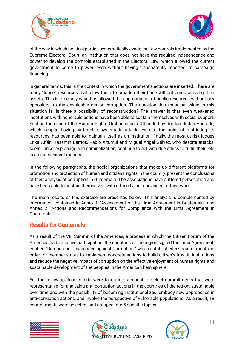



of the way in which political parties systematically evade the few controls implemented by the Supreme Electoral Court, an institution that does not have the required independence and power to develop the controls established in the Electoral Law, which allowed the current government to come to power, even without having transparently reported its campaign financing.

In general terms, this is the context in which the government's actions are inserted. There are many "loose" resources that allow them to broaden their base without compromising their assets. This is precisely what has allowed the appropriation of public resources without any opposition to the despicable act of corruption. The question that must be asked in this situation is: Is there a possibility of reconstruction? The answer is that even weakened institutions with honorable actions have been able to sustain themselves with social support. Such is the case of the Human Rights Ombudsman's Office led by Jordan Rodas Andrade, which despite having suffered a systematic attack, even to the point of restricting its resources, has been able to maintain itself as an institution; finally, the most at-risk judges Erika Aifán, Yassmin Barrios, Pablo Xitumul and Miguel Ángel Gálvez, who despite attacks, surveillance, espionage and criminalization, continue to act with due ethics to fulfill their role in an independent manner.

In the following paragraphs, the social organizations that make up different platforms for promotion and protection of human and citizens' rights in the country, present the conclusions of their analysis of corruption in Guatemala. The associations have suffered persecution and have been able to sustain themselves, with difficulty, but convinced of their work.

The main results of this exercise are presented below. This analysis is complemented by information contained in Annex 1 "Assessment of the Lima Agreement in Guatemala" and Annex 2 "Actions and Recommendations for Compliance with the Lima Agreement in Guatemala."

## <span id="page-10-0"></span>Results for Guatemala

As a result of the VIII Summit of the Americas, a process in which the Citizen Forum of the Americas had an active participation, the countries of the region signed the Lima Agreement, entitled "Democratic Governance against Corruption," which established 57 commitments, in order for member states to implement concrete actions to build citizen's trust in institutions and reduce the negative impact of corruption on the effective enjoyment of human rights and sustainable development of the peoples in the American hemisphere.

For the follow-up, four criteria were taken into account to select commitments that were representative for analyzing anti-corruption actions in the countries of the region, sustainable over time and with the possibility of becoming institutionalized, embody new approaches in anti-corruption actions, and involve the perspective of vulnerable populations. As a result, 19 commitments were selected, and grouped into 5 specific topics:





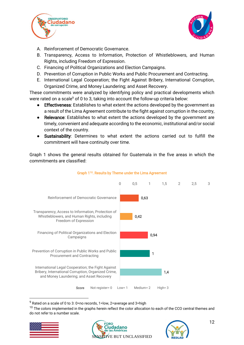



- A. Reinforcement of Democratic Governance.
- B. Transparency, Access to Information, Protection of Whistleblowers, and Human Rights, including Freedom of Expression.
- C. Financing of Political Organizations and Election Campaigns.
- D. Prevention of Corruption in Public Works and Public Procurement and Contracting.
- E. International Legal Cooperation; the Fight Against Bribery, International Corruption, Organized Crime, and Money Laundering; and Asset Recovery.

These commitments were analyzed by identifying policy and practical developments which were rated on a scale<sup>9</sup> of 0 to 3, taking into account the follow-up criteria below:

- Effectiveness: Establishes to what extent the actions developed by the government as a result of the Lima Agreement contribute to the fight against corruption in the country,
- Relevance: Establishes to what extent the actions developed by the government are timely, convenient and adequate according to the economic, institutional and/or social context of the country.
- Sustainability: Determines to what extent the actions carried out to fulfill the commitment will have continuity over time.

Graph 1 shows the general results obtained for Guatemala in the five areas in which the commitments are classified:



#### Graph 1<sup>10</sup>. Results by Theme under the Lima Agreement

 $9$  Rated on a scale of 0 to 3: 0=no records, 1=low, 2=average and 3=high

 $10$  The colors implemented in the graphs herein reflect the color allocation to each of the CCO central themes and do not refer to a number scale.





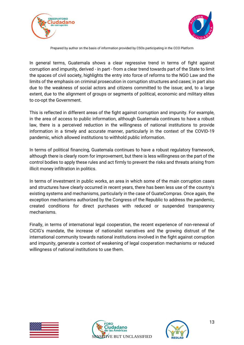



Prepared by author on the basis of information provided by CSOs participating in the CCO Platform

In general terms, Guatemala shows a clear regressive trend in terms of fight against corruption and impunity, derived - in part - from a clear trend towards part of the State to limit the spaces of civil society, highlights the entry into force of reforms to the NGO Law and the limits of the emphasis on criminal prosecution in corruption structures and cases; in part also due to the weakness of social actors and citizens committed to the issue; and, to a large extent, due to the alignment of groups or segments of political, economic and military elites to co-opt the Government.

This is reflected in different areas of the fight against corruption and impunity. For example, in the area of access to public information, although Guatemala continues to have a robust law, there is a perceived reduction in the willingness of national institutions to provide information in a timely and accurate manner, particularly in the context of the COVID-19 pandemic, which allowed institutions to withhold public information.

In terms of political financing, Guatemala continues to have a robust regulatory framework, although there is clearly room for improvement, but there is less willingness on the part of the control bodies to apply these rules and act firmly to prevent the risks and threats arising from illicit money infiltration in politics.

In terms of investment in public works, an area in which some of the main corruption cases and structures have clearly occurred in recent years, there has been less use of the country's existing systems and mechanisms, particularly in the case of GuateCompras. Once again, the exception mechanisms authorized by the Congress of the Republic to address the pandemic, created conditions for direct purchases with reduced or suspended transparency mechanisms.

Finally, in terms of international legal cooperation, the recent experience of non-renewal of CICIG's mandate, the increase of nationalist narratives and the growing distrust of the international community towards national institutions involved in the fight against corruption and impunity, generate a context of weakening of legal cooperation mechanisms or reduced willingness of national institutions to use them.





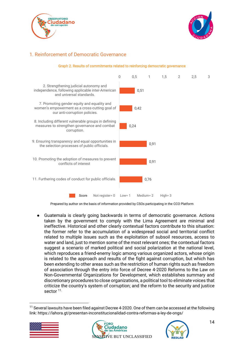



## <span id="page-13-0"></span>1. Reinforcement of Democratic Governance



#### Graph 2. Results of commitments related to reinforcing democratic governance

Prepared by author on the basis of information provided by CSOs participating in the CCO Platform

● Guatemala is clearly going backwards in terms of democratic governance. Actions taken by the government to comply with the Lima Agreement are minimal and ineffective. Historical and other clearly contextual factors contribute to this situation: the former refer to the accumulation of a widespread social and territorial conflict related to multiple issues such as the exploitation of subsoil resources, access to water and land, just to mention some of the most relevant ones; the contextual factors suggest a scenario of marked political and social polarization at the national level, which reproduces a friend-enemy logic among various organized actors, whose origin is related to the approach and results of the fight against corruption, but which has been extending to other areas such as the restriction of human rights such as freedom of association through the entry into force of Decree 4-2020 Reforms to the Law on Non-Governmental Organizations for Development, which establishes summary and discretionary procedures to close organizations, a political tool to eliminate voices that criticize the country's system of corruption; and the reform to the security and justice sector 11.

 $11$  Several lawsuits have been filed against Decree 4-2020. One of them can be accessed at the following link: https://lahora.gt/presentan-inconstitucionalidad-contra-reformas-a-ley-de-ongs/





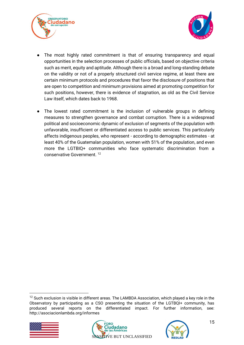



- The most highly rated commitment is that of ensuring transparency and equal opportunities in the selection processes of public officials, based on objective criteria such as merit, equity and aptitude. Although there is a broad and long-standing debate on the validity or not of a properly structured civil service regime, at least there are certain minimum protocols and procedures that favor the disclosure of positions that are open to competition and minimum provisions aimed at promoting competition for such positions, however, there is evidence of stagnation, as old as the Civil Service Law itself, which dates back to 1968.
- The lowest rated commitment is the inclusion of vulnerable groups in defining measures to strengthen governance and combat corruption. There is a widespread political and socioeconomic dynamic of exclusion of segments of the population with unfavorable, insufficient or differentiated access to public services. This particularly affects indigenous peoples, who represent - according to demographic estimates - at least 40% of the Guatemalan population, women with 51% of the population, and even more the LGTBIQ+ communities who face systematic discrimination from a conservative Government. 12

<sup>&</sup>lt;sup>12</sup> Such exclusion is visible in different areas. The LAMBDA Association, which played a key role in the Observatory by participating as a CSO presenting the situation of the LGTBQI+ community, has produced several reports on the differentiated impact. For further information, see: http://asociacionlambda.org/informes





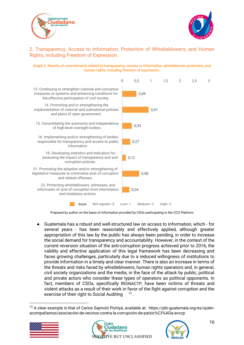



#### <span id="page-15-0"></span>2. Transparency, Access to Information, Protection of Whistleblowers, and Human Rights, including Freedom of Expression.

#### Graph 3. Results of commitments related to transparency, access to information, whistleblower protection, and human rights, including freedom of expression.



Prepared by author on the basis of information provided by CSOs participating in the CCO Platform

● Guatemala has a robust and well-structured law on access to information, which - for several years - has been reasonably and effectively applied, although greater appropriation of this law by the public has always been pending, in order to increase the social demand for transparency and accountability. However, in the context of the current reversion situation of the anti-corruption progress achieved prior to 2016, the validity and effective application of this legal framework has been decreasing and faces growing challenges, particularly due to a reduced willingness of institutions to provide information in a timely and clear manner. There is also an increase in terms of the threats and risks faced by whistleblowers, human rights operators and, in general, civil society organizations and the media, in the face of the attack by public, political and private actors who consider these types of operators as political opponents. In fact, members of CSOs, specifically REDNACTP, have been victims of threats and violent attacks as a result of their work in favor of the fight against corruption and the exercise of their right to Social Auditing 13.

<sup>&</sup>lt;sup>13</sup> A clear example is that of Carlos Saimoló Pichivá, available at: https://pbi-guatemala.org/es/guiénacompañamos/asociación-de-vecinos-contra-la-corrupción-de-patzic%C3%ADa-avccp





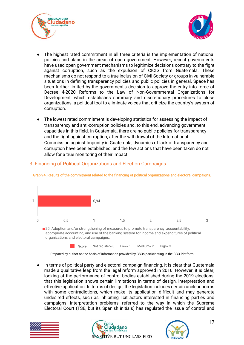



- The highest rated commitment in all three criteria is the implementation of national policies and plans in the areas of open government. However, recent governments have used open government mechanisms to legitimize decisions contrary to the fight against corruption, such as the expulsion of CICIG from Guatemala. These mechanisms do not respond to a true inclusion of Civil Society or groups in vulnerable situations in defining transparency policies and public policies in general. Space has been further limited by the government's decision to approve the entry into force of Decree 4-2020 Reforms to the Law of Non-Governmental Organizations for Development, which establishes summary and discretionary procedures to close organizations, a political tool to eliminate voices that criticize the country's system of corruption.
- The lowest rated commitment is developing statistics for assessing the impact of transparency and anti-corruption policies and, to this end, advancing government capacities in this field. In Guatemala, there are no public policies for transparency and the fight against corruption; after the withdrawal of the International Commission against Impunity in Guatemala, dynamics of lack of transparency and corruption have been established; and the few actions that have been taken do not allow for a true monitoring of their impact.



## <span id="page-16-0"></span>3. Financing of Political Organizations and Election Campaigns

Graph 4. Results of the commitment related to the financing of political organizations and electoral campaigns.

appropriate accounting, and use of the banking system for income and expenditures of political organizations and electoral campaigns.

Score Not register= 0 Low= 1 Medium= 2 High= 3

Prepared by author on the basis of information provided by CSOs participating in the CCO Platform

● In terms of political party and electoral campaign financing, it is clear that Guatemala made a qualitative leap from the legal reform approved in 2016. However, it is clear, looking at the performance of control bodies established during the 2019 elections, that this legislation shows certain limitations in terms of design, interpretation and effective application. In terms of design, the legislation includes certain unclear norms with some contradictions, which make its application difficult and may generate undesired effects, such as inhibiting licit actors interested in financing parties and campaigns; interpretation problems, referred to the way in which the Supreme Electoral Court (TSE, but its Spanish initials) has regulated the issue of control and





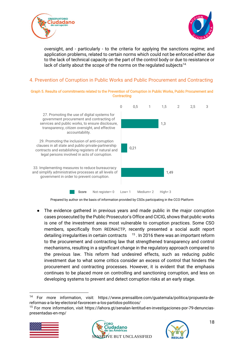



oversight, and - particularly - to the criteria for applying the sanctions regime; and application problems, related to certain norms which could not be enforced either due to the lack of technical capacity on the part of the control body or due to resistance or lack of clarity about the scope of the norms on the regulated subjects<sup>14.</sup>

## <span id="page-17-0"></span>4. Prevention of Corruption in Public Works and Public Procurement and Contracting

Graph 5. Results of commitments related to the Prevention of Corruption in Public Works, Public Procurement and **Contracting** 



Prepared by author on the basis of information provided by CSOs participating in the CCO Platform

● The evidence gathered in previous years and made public in the major corruption cases prosecuted by the Public Prosecutor's Office and CICIG, shows that public works is one of the investment areas most vulnerable to corruption practices. Some CSO members, specifically from REDNACTP, recently presented a social audit report detailing irregularities in certain contracts <sup>15</sup>. In 2016 there was an important reform to the procurement and contracting law that strengthened transparency and control mechanisms, resulting in a significant change in the regulatory approach compared to the previous law. This reform had undesired effects, such as reducing public investment due to what some critics consider an excess of control that hinders the procurement and contracting processes. However, it is evident that the emphasis continues to be placed more on controlling and sanctioning corruption, and less on developing systems to prevent and detect corruption risks at an early stage.

<sup>15</sup> For more information, visit https://lahora.gt/senalan-lentitud-en-investigaciones-por-79-denunciaspresentadas-en-mp/







<sup>14</sup> For more information, visit: https://www.prensalibre.com/guatemala/politica/propuesta-dereformas-a-la-ley-electoral-favorecen-a-los-partidos-politicos/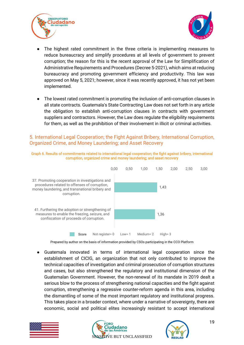



- The highest rated commitment in the three criteria is implementing measures to reduce bureaucracy and simplify procedures at all levels of government to prevent corruption; the reason for this is the recent approval of the Law for Simplification of Administrative Requirements and Procedures (Decree 5-2021), which aims at reducing bureaucracy and promoting government efficiency and productivity. This law was approved on May 5, 2021; however, since it was recently approved, it has not yet been implemented.
- The lowest rated commitment is promoting the inclusion of anti-corruption clauses in all state contracts. Guatemala's State Contracting Law does not set forth in any article the obligation to establish anti-corruption clauses in contracts with government suppliers and contractors. However, the Law does regulate the eligibility requirements for them, as well as the prohibition of their involvement in illicit or criminal activities.

#### <span id="page-18-0"></span>5. International Legal Cooperation; the Fight Against Bribery, International Corruption, Organized Crime, and Money Laundering; and Asset Recovery





Prepared by author on the basis of information provided by CSOs participating in the CCO Platform

Guatemala innovated in terms of international legal cooperation since the establishment of CICIG, an organization that not only contributed to improve the technical capacities of investigation and criminal prosecution of corruption structures and cases, but also strengthened the regulatory and institutional dimension of the Guatemalan Government. However, the non-renewal of its mandate in 2019 dealt a serious blow to the process of strengthening national capacities and the fight against corruption, strengthening a regressive counter-reform agenda in this area, including the dismantling of some of the most important regulatory and institutional progress. This takes place in a broader context, where under a narrative of sovereignty, there are economic, social and political elites increasingly resistant to accept international





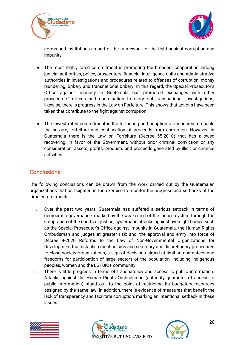



norms and institutions as part of the framework for the fight against corruption and impunity.

- The most highly rated commitment is promoting the broadest cooperation among judicial authorities, police, prosecutors, financial intelligence units and administrative authorities in investigations and procedures related to offenses of corruption, money laundering, bribery and transnational bribery. In this regard, the Special Prosecutor's Office against Impunity in Guatemala has promoted exchanges with other prosecutors' offices and coordination to carry out transnational investigations; likewise, there is progress in the Law on Forfeiture. This shows that actions have been taken that contribute to the fight against corruption.
- The lowest rated commitment is the furthering and adoption of measures to enable the seizure, forfeiture and confiscation of proceeds from corruption. However, in Guatemala there is the Law on Forfeiture (Decree 55-2010) that has allowed recovering, in favor of the Government, without prior criminal conviction or any consideration, assets, profits, products and proceeds generated by illicit or criminal activities.

## <span id="page-19-0"></span>**Conclusions**

The following conclusions can be drawn from the work carried out by the Guatemalan organizations that participated in the exercise to monitor the progress and setbacks of the Lima commitments:

- I. Over the past two years, Guatemala has suffered a serious setback in terms of democratic governance, marked by the weakening of the justice system through the co-optation of the courts of justice, systematic attacks against oversight bodies such as the Special Prosecutor's Office against Impunity in Guatemala, the Human Rights Ombudsman and judges at greater risk; and, the approval and entry into force of Decree 4-2020 Reforms to the Law of Non-Governmental Organizations for Development that establish mechanisms and summary and discretionary procedures to close society organizations, a sign of decisions aimed at limiting guarantees and freedoms for participation of large sectors of the population, including indigenous peoples, women and the LGTBIQ+ community.
- II. There is little progress in terms of transparency and access to public information. Attacks against the Human Rights Ombudsman (authority guarantor of access to public information) stand out, to the point of restricting its budgetary resources assigned by the same law. In addition, there is evidence of measures that benefit the lack of transparency and facilitate corruption, marking an intentional setback in these issues.





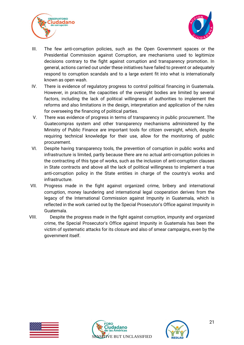



- III. The few anti-corruption policies, such as the Open Government spaces or the Presidential Commission against Corruption, are mechanisms used to legitimize decisions contrary to the fight against corruption and transparency promotion. In general, actions carried out under these initiatives have failed to prevent or adequately respond to corruption scandals and to a large extent fit into what is internationally known as open wash.
- IV. There is evidence of regulatory progress to control political financing in Guatemala. However, in practice, the capacities of the oversight bodies are limited by several factors, including the lack of political willingness of authorities to implement the reforms and also limitations in the design, interpretation and application of the rules for overseeing the financing of political parties.
- V. There was evidence of progress in terms of transparency in public procurement. The Guatecompras system and other transparency mechanisms administered by the Ministry of Public Finance are important tools for citizen oversight, which, despite requiring technical knowledge for their use, allow for the monitoring of public procurement.
- VI. Despite having transparency tools, the prevention of corruption in public works and infrastructure is limited, partly because there are no actual anti-corruption policies in the contracting of this type of works, such as the inclusion of anti-corruption clauses in State contracts and above all the lack of political willingness to implement a true anti-corruption policy in the State entities in charge of the country's works and infrastructure.
- VII. Progress made in the fight against organized crime, bribery and international corruption, money laundering and international legal cooperation derives from the legacy of the International Commission against Impunity in Guatemala, which is reflected in the work carried out by the Special Prosecutor's Office against Impunity in Guatemala.
- VIII. Despite the progress made in the fight against corruption, impunity and organized crime, the Special Prosecutor's Office against Impunity in Guatemala has been the victim of systematic attacks for its closure and also of smear campaigns, even by the government itself.





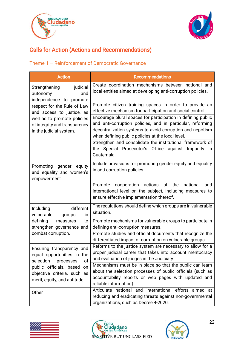



# <span id="page-21-0"></span>Calls for Action (Actions and Recommendations)

## <span id="page-21-1"></span>Theme 1 – Reinforcement of Democratic Governance

| <b>Action</b>                                                                           | <b>Recommendations</b>                                                                                                                                                                                                                       |  |  |  |
|-----------------------------------------------------------------------------------------|----------------------------------------------------------------------------------------------------------------------------------------------------------------------------------------------------------------------------------------------|--|--|--|
| judicial<br>Strengthening<br>autonomy<br>and<br>independence to promote                 | Create coordination mechanisms between national and<br>local entities aimed at developing anti-corruption policies.                                                                                                                          |  |  |  |
| respect for the Rule of Law<br>and access to justice, as                                | Promote citizen training spaces in order to provide an<br>effective mechanism for participation and social control.                                                                                                                          |  |  |  |
| well as to promote policies<br>of integrity and transparency<br>in the judicial system. | Encourage plural spaces for participation in defining public<br>and anti-corruption policies, and in particular, reforming<br>decentralization systems to avoid corruption and nepotism<br>when defining public policies at the local level. |  |  |  |
|                                                                                         | Strengthen and consolidate the institutional framework of<br>the Special Prosecutor's Office against Impunity<br>in<br>Guatemala.                                                                                                            |  |  |  |
| gender<br>equity<br>Promoting<br>and equality and women's<br>empowerment                | Include provisions for promoting gender equity and equality<br>in anti-corruption policies.                                                                                                                                                  |  |  |  |
|                                                                                         | actions<br>the<br>Promote<br>at<br>national<br>cooperation<br>and<br>international level on the subject, including measures to<br>ensure effective implementation thereof.                                                                   |  |  |  |
| different<br>Including<br>vulnerable<br>in<br>groups                                    | The regulations should define which groups are in vulnerable<br>situation.                                                                                                                                                                   |  |  |  |
| defining<br>measures<br>to<br>strengthen governance and                                 | Promote mechanisms for vulnerable groups to participate in<br>defining anti-corruption measures.                                                                                                                                             |  |  |  |
| combat corruption.                                                                      | Promote studies and official documents that recognize the<br>differentiated impact of corruption on vulnerable groups.                                                                                                                       |  |  |  |
| Ensuring transparency and<br>equal opportunities in the                                 | Reforms to the justice system are necessary to allow for a<br>proper judicial career that takes into account meritocracy<br>and evaluation of judges in the Judiciary.                                                                       |  |  |  |
| of<br>selection<br>processes<br>public officials, based<br>on                           | Mechanisms must be in place so that the public can learn                                                                                                                                                                                     |  |  |  |
| objective criteria, such as<br>merit, equity, and aptitude.                             | about the selection processes of public officials (such as<br>accountability reports or web pages with updated and<br>reliable information).                                                                                                 |  |  |  |
| Other                                                                                   | Articulate national and international efforts aimed at<br>reducing and eradicating threats against non-governmental<br>organizations, such as Decree 4-2020.                                                                                 |  |  |  |





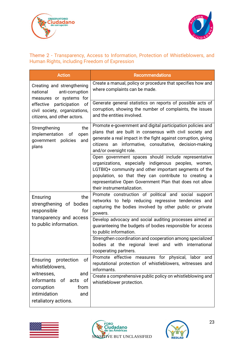



## <span id="page-22-0"></span>Theme 2 - Transparency, Access to Information, Protection of Whistleblowers, and Human Rights, including Freedom of Expression

| <b>Action</b>                                                                                    | <b>Recommendations</b>                                                                                                                                                                                                                                                                                                  |
|--------------------------------------------------------------------------------------------------|-------------------------------------------------------------------------------------------------------------------------------------------------------------------------------------------------------------------------------------------------------------------------------------------------------------------------|
| Creating and strengthening<br>anti-corruption<br>national<br>measures or systems for             | Create a manual, policy or procedure that specifies how and<br>where complaints can be made.                                                                                                                                                                                                                            |
| participation<br>effective<br>0f<br>civil society, organizations,<br>citizens, and other actors. | Generate general statistics on reports of possible acts of<br>corruption, showing the number of complaints, the issues<br>and the entities involved.                                                                                                                                                                    |
| the<br>Strengthening<br>implementation<br>of<br>open<br>policies<br>government<br>and<br>plans   | Promote e-government and digital participation policies and<br>plans that are built in consensus with civil society and<br>generate a real impact in the fight against corruption, giving<br>citizens an informative, consultative, decision-making<br>and/or oversight role.                                           |
|                                                                                                  | Open government spaces should include representative<br>organizations, especially indigenous peoples, women,<br>LGTBIQ+ community and other important segments of the<br>population, so that they can contribute to creating a<br>representative Open Government Plan that does not allow<br>their instrumentalization. |
| the<br>Ensuring<br>strengthening of bodies<br>for<br>responsible                                 | Promote construction of political and social support<br>networks to help reducing regressive tendencies and<br>capturing the bodies involved by other public or private<br>powers.                                                                                                                                      |
| transparency and access<br>to public information.                                                | Develop advocacy and social auditing processes aimed at<br>guaranteeing the budgets of bodies responsible for access<br>to public information.                                                                                                                                                                          |
|                                                                                                  | Strengthen coordination and cooperation among specialized<br>bodies at the regional level and with international<br>cooperating partners.                                                                                                                                                                               |
| of<br>Ensuring<br>protection<br>whistleblowers,<br>witnesses,<br>and                             | Promote effective measures for physical, labor and<br>reputational protection of whistleblowers, witnesses and<br>informants.                                                                                                                                                                                           |
| informants of acts of<br>corruption<br>from<br>intimidation<br>and<br>retaliatory actions.       | Create a comprehensive public policy on whistleblowing and<br>whistleblower protection.                                                                                                                                                                                                                                 |





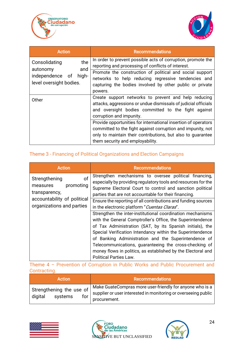



| Action                            | <b>Recommendations</b>                                                                                                 |
|-----------------------------------|------------------------------------------------------------------------------------------------------------------------|
| the<br>Consolidating<br>and       | In order to prevent possible acts of corruption, promote the<br>reporting and processing of conflicts of interest.     |
| autonomy<br>independence of high- | Promote the construction of political and social support<br>networks to help reducing regressive tendencies and        |
| level oversight bodies.           | capturing the bodies involved by other public or private                                                               |
|                                   | powers.                                                                                                                |
| Other                             | Create support networks to prevent and help reducing<br>attacks, aggressions or undue dismissals of judicial officials |
|                                   | and oversight bodies committed to the fight against                                                                    |
|                                   | corruption and impunity.                                                                                               |
|                                   | Provide opportunities for international insertion of operators                                                         |
|                                   | committed to the fight against corruption and impunity, not                                                            |
|                                   | only to maintain their contributions, but also to guarantee                                                            |
|                                   | them security and employability.                                                                                       |

## <span id="page-23-0"></span>Theme 3 - Financing of Political Organizations and Election Campaigns

| <b>Action</b>                                                 | <b>Recommendations</b>                                                                                                                                                                                                                                                                                                                                                                                                                                                 |  |  |  |  |
|---------------------------------------------------------------|------------------------------------------------------------------------------------------------------------------------------------------------------------------------------------------------------------------------------------------------------------------------------------------------------------------------------------------------------------------------------------------------------------------------------------------------------------------------|--|--|--|--|
| of<br>Strengthening<br>promoting<br>measures<br>transparency, | Strengthen mechanisms to oversee political financing,<br>especially by providing regulatory tools and resources for the<br>Supreme Electoral Court to control and sanction political<br>parties that are not accountable for their financing.                                                                                                                                                                                                                          |  |  |  |  |
| accountability of political<br>organizations and parties      | Ensure the reporting of all contributions and funding sources<br>in the electronic platform "Cuentas Claras".                                                                                                                                                                                                                                                                                                                                                          |  |  |  |  |
|                                                               | Strengthen the inter-institutional coordination mechanisms<br>with the General Comptroller's Office, the Superintendence<br>of Tax Administration (SAT, by its Spanish initials), the<br>Special Verification Intendancy within the Superintendence<br>of Banking Administration and the Superintendence of<br>Telecommunications, guaranteeing the cross-checking of<br>money flows in politics, as established by the Electoral and<br><b>Political Parties Law.</b> |  |  |  |  |

<span id="page-23-1"></span>Theme 4 – Prevention of Corruption in Public Works and Public Procurement and Contracting.

| Action                                                | <b>Recommendations</b>                                                                                                                     |
|-------------------------------------------------------|--------------------------------------------------------------------------------------------------------------------------------------------|
| Strengthening the use of<br>digital<br>systems<br>for | Make GuateCompras more user-friendly for anyone who is a<br>supplier or user interested in monitoring or overseeing public<br>procurement. |





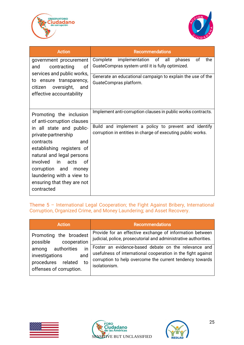



| <b>Action</b>                                                                                                                                                                                                                                                   | <b>Recommendations</b>                                                                                              |  |  |  |  |
|-----------------------------------------------------------------------------------------------------------------------------------------------------------------------------------------------------------------------------------------------------------------|---------------------------------------------------------------------------------------------------------------------|--|--|--|--|
| government procurement<br>contracting<br>and<br>0f<br>services and public works,                                                                                                                                                                                | of<br>the<br>implementation of all<br>Complete<br>phases<br>GuateCompras system until it is fully optimized.        |  |  |  |  |
| to ensure transparency,<br>oversight,<br>citizen<br>and<br>effective accountability                                                                                                                                                                             | Generate an educational campaign to explain the use of the<br>GuateCompras platform.                                |  |  |  |  |
| Promoting the inclusion<br>of anti-corruption clauses                                                                                                                                                                                                           | Implement anti-corruption clauses in public works contracts.                                                        |  |  |  |  |
| in all state and public-<br>private-partnership<br>contracts<br>and<br>establishing registers of<br>natural and legal persons<br>involved in<br>acts<br>.of<br>corruption and<br>money<br>laundering with a view to<br>ensuring that they are not<br>contracted | Build and implement a policy to prevent and identify<br>corruption in entities in charge of executing public works. |  |  |  |  |

<span id="page-24-0"></span>Theme 5 – International Legal Cooperation; the Fight Against Bribery, International Corruption, Organized Crime, and Money Laundering; and Asset Recovery.

| <b>Action</b>                                                                                                                        | <b>Recommendations</b>                                                                                                                                                                                                                                                                                                           |
|--------------------------------------------------------------------------------------------------------------------------------------|----------------------------------------------------------------------------------------------------------------------------------------------------------------------------------------------------------------------------------------------------------------------------------------------------------------------------------|
| Promoting the broadest<br>possible<br>cooperation<br>in<br>authorities<br>among<br>and<br>investigations<br>procedures related<br>to | Provide for an effective exchange of information between<br>judicial, police, prosecutorial and administrative authorities.<br>Foster an evidence-based debate on the relevance and<br>usefulness of international cooperation in the fight against<br>corruption to help overcome the current tendency towards<br>isolationism. |
| offenses of corruption.                                                                                                              |                                                                                                                                                                                                                                                                                                                                  |





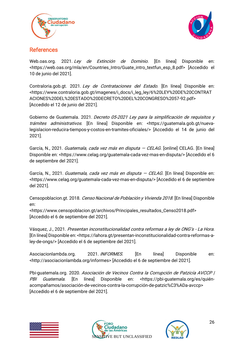



## <span id="page-25-0"></span>References

Web.oas.org. 2021. Ley de Extinción de Dominio. [En línea] Disponible en: <https://web.oas.org/mla/en/Countries\_Intro/Guate\_intro\_textfun\_esp\_8.pdf> [Accedido el 10 de junio del 2021].

Contraloria.gob.gt. 2021. Ley de Contrataciones del Estado. [En línea] Disponible en: <https://www.contraloria.gob.gt/imagenes/i\_docs/i\_leg\_ley/6%20LEY%20DE%20CONTRAT ACIONES%20DEL%20ESTADO%20DECRETO%20DEL%20CONGRESO%2057-92.pdf> [Accedido el 12 de junio del 2021].

Gobierno de Guatemala. 2021. Decreto 05-2021 Ley para la simplificación de requisitos y trámites administrativos. [En línea] Disponible en: <https://guatemala.gob.gt/nuevalegislacion-reducira-tiempos-y-costos-en-tramites-oficiales/> [Accedido el 14 de junio del 2021].

García, N., 2021. Guatemala, cada vez más en disputa – CELAG. [online] CELAG. [En línea] Disponible en: <https://www.celag.org/guatemala-cada-vez-mas-en-disputa/> [Accedido el 6 de septiembre del 2021].

García, N., 2021. Guatemala, cada vez más en disputa - CELAG. [En línea] Disponible en: <https://www.celag.org/guatemala-cada-vez-mas-en-disputa/> [Accedido el 6 de septiembre del 2021].

Censopoblacion.gt. 2018. Censo Nacional de Población y Vivienda 2018. [En línea] Disponible en:

<https://www.censopoblacion.gt/archivos/Principales\_resultados\_Censo2018.pdf> [Accedido el 6 de septiembre del 2021].

Vásquez, J., 2021. Presentan inconstitucionalidad contra reformas a ley de ONG's - La Hora. [En línea] Disponible en: <https://lahora.gt/presentan-inconstitucionalidad-contra-reformas-aley-de-ongs/> [Accedido el 6 de septiembre del 2021].

Asociacionlambda.org. 2021. INFORMES. [En línea] Disponible en: <http://asociacionlambda.org/informes> [Accedido el 6 de septiembre del 2021].

Pbi-guatemala.org. 2020. Asociación de Vecinos Contra la Corrupción de Patzicía AVCCP | PBI Guatemala. [En línea] Disponible en: <https://pbi-quatemala.org/es/quiénacompañamos/asociación-de-vecinos-contra-la-corrupción-de-patzic%C3%ADa-avccp> [Accedido el 6 de septiembre del 2021].





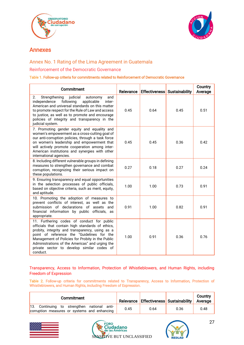



## Annexes

## <span id="page-26-0"></span>Annex No. 1 Rating of the Lima Agreement in Guatemala

#### <span id="page-26-1"></span>Reinforcement of the Democratic Governance

#### Table 1. Follow-up criteria for commitments related to Reinforcement of Democratic Governance

| Commitment                                                                                                                                                                                                                                                                                                                                                       | Relevance |      | <b>Effectiveness</b> Sustainability | Country<br>Average |
|------------------------------------------------------------------------------------------------------------------------------------------------------------------------------------------------------------------------------------------------------------------------------------------------------------------------------------------------------------------|-----------|------|-------------------------------------|--------------------|
| Strengthening<br>judicial<br>and<br>2.<br>autonomy<br>following<br>independence<br>applicable<br>inter-<br>American and universal standards on this matter<br>to promote respect for the Rule of Law and access<br>to justice, as well as to promote and encourage<br>policies of integrity and transparency in the<br>judicial system.                          | 0.45      | 0.64 | 0.45                                | 0.51               |
| 7. Promoting gender equity and equality and<br>women's empowerment as a cross-cutting goal of<br>our anti-corruption policies, through a task force<br>on women's leadership and empowerment that<br>will actively promote cooperation among inter-<br>American institutions and synergies with other<br>international agencies.                                 | 0.45      | 0.45 | 0.36                                | 0.42               |
| 8. Including different vulnerable groups in defining<br>measures to strengthen governance and combat<br>corruption, recognizing their serious impact on<br>these populations.                                                                                                                                                                                    | 0.27      | 0.18 | 0.27                                | 0.24               |
| 9. Ensuring transparency and equal opportunities<br>in the selection processes of public officials,<br>based on objective criteria, such as merit, equity,<br>and aptitude.                                                                                                                                                                                      | 1.00      | 1.00 | 0.73                                | 0.91               |
| 10. Promoting the adoption of measures to<br>prevent conflicts of interest, as well as the<br>submission of declarations of assets and<br>financial information by public officials, as<br>appropriate.                                                                                                                                                          | 0.91      | 1.00 | 0.82                                | 0.91               |
| 11. Furthering codes of conduct for public<br>officials that contain high standards of ethics,<br>probity, integrity and transparency, using as a<br>point of reference the "Guidelines for the<br>Management of Policies for Probity in the Public<br>Administrations of the Americas" and urging the<br>private sector to develop similar codes of<br>conduct. | 1.00      | 0.91 | 0.36                                | 0.76               |

<span id="page-26-2"></span>Transparency, Access to Information, Protection of Whistleblowers, and Human Rights, including Freedom of Expression

Table 2. Follow-up criteria for commitments related to Transparency, Access to Information, Protection of Whistleblowers, and Human Rights, including Freedom of Expression.

| Commitment                                                                                  |      |      | Relevance Effectiveness Sustainability Average | Country |
|---------------------------------------------------------------------------------------------|------|------|------------------------------------------------|---------|
| 13. Continuing to strengthen national anti-<br>corruption measures or systems and enhancing | 0.45 | 0.64 | 0.36                                           | 0.48    |





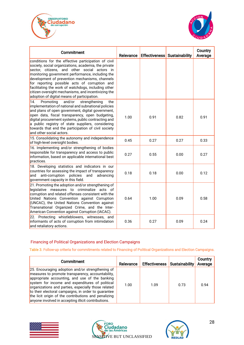



| Commitment                                                                                                                                                                                                                                                                                                                                                                                                                                                                      | Relevance |      | <b>Effectiveness</b> Sustainability | Country<br>Average |
|---------------------------------------------------------------------------------------------------------------------------------------------------------------------------------------------------------------------------------------------------------------------------------------------------------------------------------------------------------------------------------------------------------------------------------------------------------------------------------|-----------|------|-------------------------------------|--------------------|
| conditions for the effective participation of civil<br>society, social organizations, academia, the private<br>sector, citizens, and other social actors in<br>monitoring government performance, including the<br>development of prevention mechanisms, channels<br>for reporting possible acts of corruption and<br>facilitating the work of watchdogs, including other<br>citizen oversight mechanisms, and incentivizing the<br>adoption of digital means of participation. |           |      |                                     |                    |
| 14.<br>Promoting<br>and/or<br>the<br>strengthening<br>implementation of national and subnational policies<br>and plans of open government, digital government,<br>open data, fiscal transparency, open budgeting,<br>digital procurement systems, public contracting and<br>a public registry of state suppliers, considering<br>towards that end the participation of civil society<br>and other social actors.                                                                | 1.00      | 0.91 | 0.82                                | 0.91               |
| 15. Consolidating the autonomy and independence<br>of high-level oversight bodies.                                                                                                                                                                                                                                                                                                                                                                                              | 0.45      | 0.27 | 0.27                                | 0.33               |
| 16. Implementing and/or strengthening of bodies<br>responsible for transparency and access to public<br>information, based on applicable international best<br>practices.                                                                                                                                                                                                                                                                                                       | 0.27      | 0.55 | 0.00                                | 0.27               |
| 18. Developing statistics and indicators in our<br>countries for assessing the impact of transparency<br>anti-corruption<br>policies<br>and<br>and<br>advancing<br>government capacity in this field.                                                                                                                                                                                                                                                                           | 0.18      | 0.18 | 0.00                                | 0.12               |
| 21. Promoting the adoption and/or strengthening of<br>legislative measures to criminalize acts of<br>corruption and related offenses consistent with the<br>United Nations Convention against Corruption<br>(UNCAC), the United Nations Convention against<br>Transnational Organized Crime, and the Inter-<br>American Convention against Corruption (IACAC).                                                                                                                  | 0.64      | 1.00 | 0.09                                | 0.58               |
| 22. Protecting whistleblowers, witnesses, and<br>informants of acts of corruption from intimidation<br>and retaliatory actions.                                                                                                                                                                                                                                                                                                                                                 | 0.36      | 0.27 | 0.09                                | 0.24               |

#### <span id="page-27-0"></span>Financing of Political Organizations and Election Campaigns

Table 3. Follow-up criteria for commitments related to Financing of Political Organizations and Election Campaigns.

| Commitment                                                                                                                                                                                                                                                                                                                                                                                                                              | Relevance | <b>Effectiveness Sustainability</b> |      | Country<br>Average |
|-----------------------------------------------------------------------------------------------------------------------------------------------------------------------------------------------------------------------------------------------------------------------------------------------------------------------------------------------------------------------------------------------------------------------------------------|-----------|-------------------------------------|------|--------------------|
| 25. Encouraging adoption and/or strengthening of<br>measures to promote transparency, accountability,<br>appropriate accounting, and use of the banking<br>system for income and expenditures of political<br>organizations and parties, especially those related<br>to their electoral campaigns, in order to guarantee<br>the licit origin of the contributions and penalizing<br>anyone involved in accepting illicit contributions. | 1.00      | 1.09                                | 0.73 | 0.94               |